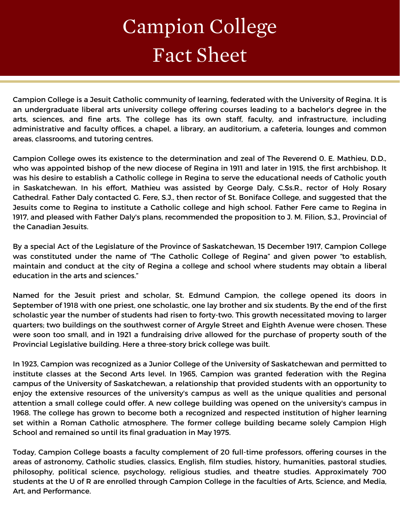## Campion College Fact Sheet

Campion College is a Jesuit Catholic community of learning, federated with the University of Regina. It is an undergraduate liberal arts university college offering courses leading to a bachelor's degree in the arts, sciences, and fine arts. The college has its own staff, faculty, and infrastructure, including administrative and faculty offices, a chapel, a library, an auditorium, a cafeteria, lounges and common areas, classrooms, and tutoring centres.

Campion College owes its existence to the determination and zeal of The Reverend 0. E. Mathieu, D.D., who was appointed bishop of the new diocese of Regina in 1911 and later in 1915, the first archbishop. It was his desire to establish a Catholic college in Regina to serve the educational needs of Catholic youth in Saskatchewan. In his effort, Mathieu was assisted by George Daly, C.Ss.R., rector of Holy Rosary Cathedral. Father Daly contacted G. Fere, S.J., then rector of St. Boniface College, and suggested that the Jesuits come to Regina to institute a Catholic college and high school. Father Fere came to Regina in 1917, and pleased with Father Daly's plans, recommended the proposition to J. M. Filion, S.J., Provincial of the Canadian Jesuits.

By a special Act of the Legislature of the Province of Saskatchewan, 15 December 1917, Campion College was constituted under the name of "The Catholic College of Regina" and given power "to establish, maintain and conduct at the city of Regina a college and school where students may obtain a liberal education in the arts and sciences."

Named for the Jesuit priest and scholar, St. Edmund Campion, the college opened its doors in September of 1918 with one priest, one scholastic, one lay brother and six students. By the end of the first scholastic year the number of students had risen to forty-two. This growth necessitated moving to larger quarters; two buildings on the southwest corner of Argyle Street and Eighth Avenue were chosen. These were soon too small, and in 1921 a fundraising drive allowed for the purchase of property south of the Provincial Legislative building. Here a three-story brick college was built.

In 1923, Campion was recognized as a Junior College of the University of Saskatchewan and permitted to institute classes at the Second Arts level. In 1965, Campion was granted federation with the Regina campus of the University of Saskatchewan, a relationship that provided students with an opportunity to enjoy the extensive resources of the university's campus as well as the unique qualities and personal attention a small college could offer. A new college building was opened on the university's campus in 1968. The college has grown to become both a recognized and respected institution of higher learning set within a Roman Catholic atmosphere. The former college building became solely Campion High School and remained so until its final graduation in May 1975.

Today, Campion College boasts a faculty complement of 20 full-time professors, offering courses in the areas of astronomy, Catholic studies, classics, English, film studies, history, humanities, pastoral studies, philosophy, political science, psychology, religious studies, and theatre studies. Approximately 700 students at the U of R are enrolled through Campion College in the faculties of Arts, Science, and Media, Art, and Performance.